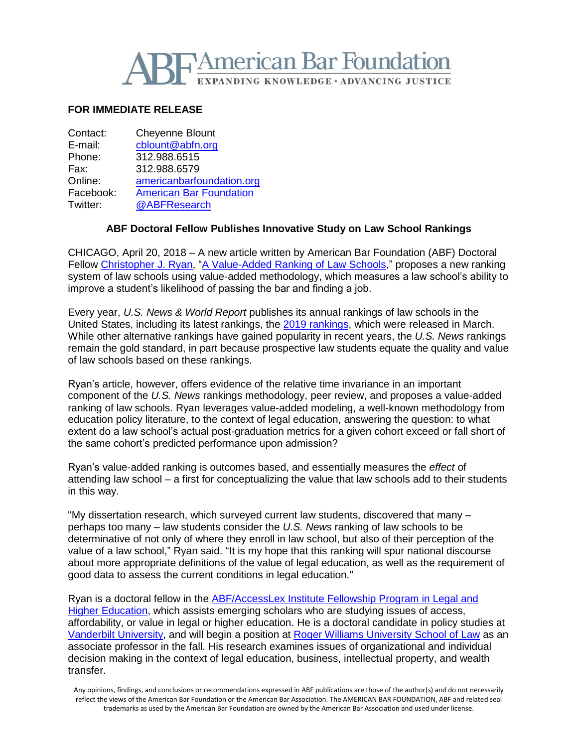

## **FOR IMMEDIATE RELEASE**

| Contact:  | <b>Cheyenne Blount</b>         |
|-----------|--------------------------------|
| E-mail:   | cblount@abfn.org               |
| Phone:    | 312.988.6515                   |
| Fax:      | 312.988.6579                   |
| Online:   | americanbarfoundation.org      |
| Facebook: | <b>American Bar Foundation</b> |
| Twitter:  | @ABFResearch                   |
|           |                                |

## **ABF Doctoral Fellow Publishes Innovative Study on Law School Rankings**

CHICAGO, April 20, 2018 – A new article written by American Bar Foundation (ABF) Doctoral Fellow [Christopher J. Ryan,](http://www.americanbarfoundation.org/fellowships/Doctoral_Fellows.html) ["A Value-Added Ranking of Law Schools,](https://papers.ssrn.com/sol3/papers.cfm?abstract_id=2623728)" proposes a new ranking system of law schools using value-added methodology, which measures a law school's ability to improve a student's likelihood of passing the bar and finding a job.

Every year, *U.S. News & World Report* publishes its annual rankings of law schools in the United States, including its latest rankings, the [2019 rankings,](https://www.usnews.com/best-graduate-schools/top-law-schools) which were released in March. While other alternative rankings have gained popularity in recent years, the *U.S. News* rankings remain the gold standard, in part because prospective law students equate the quality and value of law schools based on these rankings.

Ryan's article, however, offers evidence of the relative time invariance in an important component of the *U.S. News* rankings methodology, peer review, and proposes a value-added ranking of law schools. Ryan leverages value-added modeling, a well-known methodology from education policy literature, to the context of legal education, answering the question: to what extent do a law school's actual post-graduation metrics for a given cohort exceed or fall short of the same cohort's predicted performance upon admission?

Ryan's value-added ranking is outcomes based, and essentially measures the *effect* of attending law school – a first for conceptualizing the value that law schools add to their students in this way.

"My dissertation research, which surveyed current law students, discovered that many – perhaps too many – law students consider the *U.S. News* ranking of law schools to be determinative of not only of where they enroll in law school, but also of their perception of the value of a law school," Ryan said. "It is my hope that this ranking will spur national discourse about more appropriate definitions of the value of legal education, as well as the requirement of good data to assess the current conditions in legal education."

Ryan is a doctoral fellow in the [ABF/AccessLex Institute Fellowship Program in Legal and](http://www.americanbarfoundation.org/research/Fellowshipopportunities/ABF_AGI_Doctoral_Fellowship_Program_in_Legal___Higher_Education.html)  [Higher Education,](http://www.americanbarfoundation.org/research/Fellowshipopportunities/ABF_AGI_Doctoral_Fellowship_Program_in_Legal___Higher_Education.html) which assists emerging scholars who are studying issues of access, affordability, or value in legal or higher education. He is a doctoral candidate in policy studies at [Vanderbilt University,](https://peabody.vanderbilt.edu/bio/cj-ryan) and will begin a position at [Roger Williams University School of Law](https://law.rwu.edu/news/news-archive/new-faculty-fall-18) as an associate professor in the fall. His research examines issues of organizational and individual decision making in the context of legal education, business, intellectual property, and wealth transfer.

Any opinions, findings, and conclusions or recommendations expressed in ABF publications are those of the author(s) and do not necessarily reflect the views of the American Bar Foundation or the American Bar Association. The AMERICAN BAR FOUNDATION, ABF and related seal trademarks as used by the American Bar Foundation are owned by the American Bar Association and used under license.